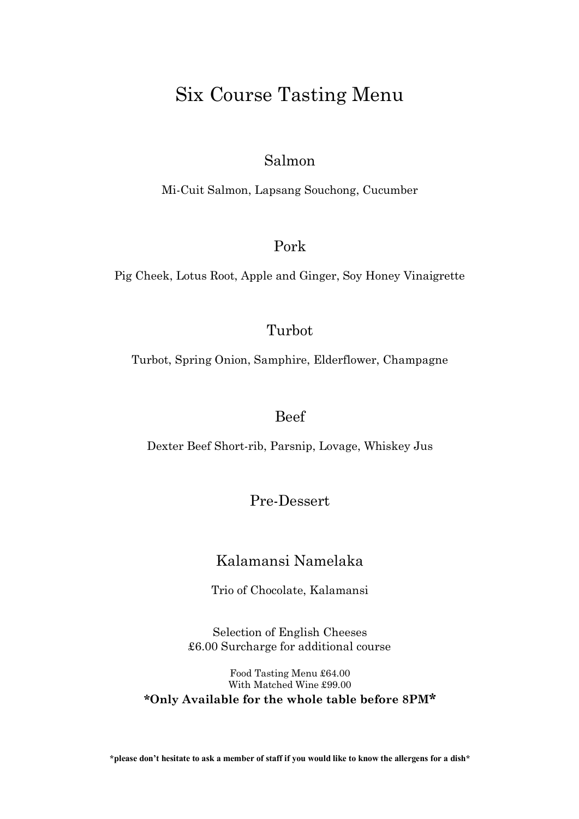## Six Course Tasting Menu

#### Salmon

Mi-Cuit Salmon, Lapsang Souchong, Cucumber

#### Pork

Pig Cheek, Lotus Root, Apple and Ginger, Soy Honey Vinaigrette

#### Turbot

Turbot, Spring Onion, Samphire, Elderflower, Champagne

#### Beef

Dexter Beef Short-rib, Parsnip, Lovage, Whiskey Jus

#### Pre-Dessert

#### Kalamansi Namelaka

Trio of Chocolate, Kalamansi

Selection of English Cheeses £6.00 Surcharge for additional course

Food Tasting Menu £64.00 With Matched Wine £99.00 **\*Only Available for the whole table before 8PM\***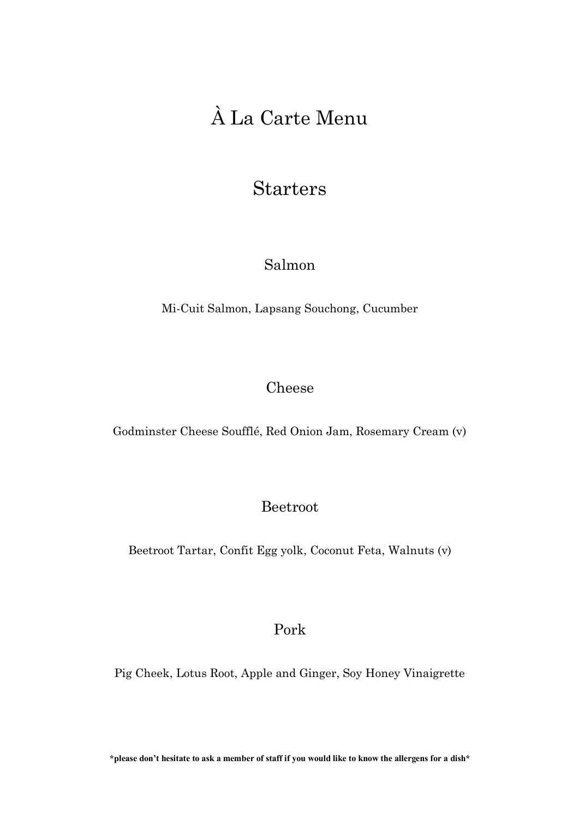# À La Carte Menu

## Starters

### Salmon

Mi-Cuit Salmon, Lapsang Souchong, Cucumber

#### Cheese

Godminster Cheese Soufflé, Red Onion Jam, Rosemary Cream (v)

#### Beetroot

Beetroot Tartar, Confit Egg yolk, Coconut Feta, Walnuts (v)

#### Pork

Pig Cheek, Lotus Root, Apple and Ginger, Soy Honey Vinaigrette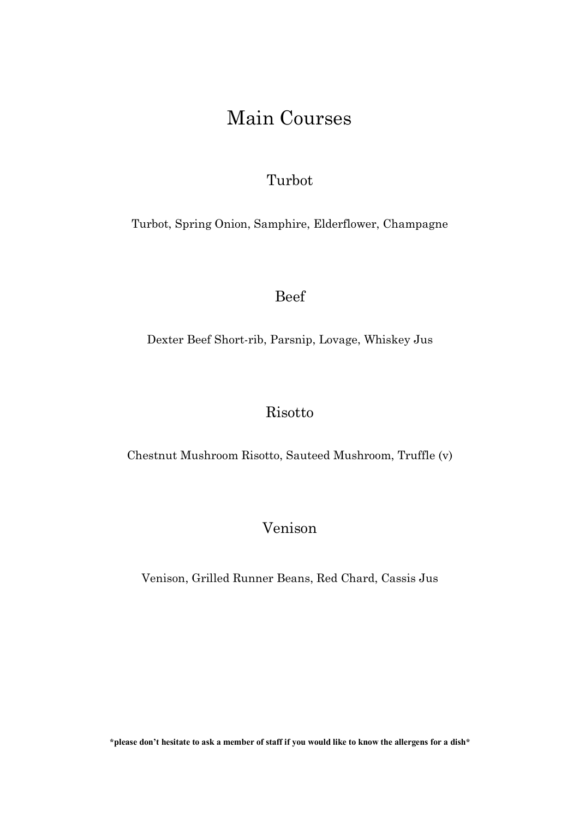## Main Courses

### Turbot

Turbot, Spring Onion, Samphire, Elderflower, Champagne

Beef

Dexter Beef Short-rib, Parsnip, Lovage, Whiskey Jus

#### Risotto

Chestnut Mushroom Risotto, Sauteed Mushroom, Truffle (v)

### Venison

Venison, Grilled Runner Beans, Red Chard, Cassis Jus

**\*please don't hesitate to ask a member of staff if you would like to know the allergens for a dish\***